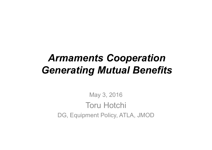# *Armaments Cooperation Generating Mutual Benefits*

May 3, 2016 Toru Hotchi DG, Equipment Policy, ATLA, JMOD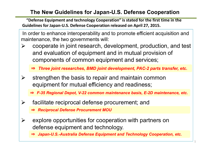## **The New Guidelines for Japan-U.S. Defense Cooperation**

**"Defense Equipment and technology Cooperation" is stated for the first time in the Guidelines for Japan-U.S. Defense Cooperation released on April 27, 2015.**

In order to enhance interoperability and to promote efficient acquisition and maintenance, the two governments will:

- cooperate in joint research, development, production, and test  $\blacktriangleright$ and evaluation of equipment and in mutual provision of components of common equipment and services;
	- ⇒ *Three joint researches, BMD joint development, PAC-2 parts transfer, etc.*
- strengthen the basis to repair and maintain common  $\sum_{i=1}^{n}$ equipment for mutual efficiency and readiness;
	- ⇒ *F-35 Regional Depot, V-22 common maintenance basis, E-2D maintenance, etc.*
- facilitate reciprocal defense procurement; and  $\blacktriangleright$ 
	- ⇒ *Reciprocal Defense Procurement MOU*
- explore opportunities for cooperation with partners on  $\blacktriangleright$ defense equipment and technology.

⇒ *Japan-U.S.-Australia Defense Equipment and Technology Cooperation, etc.*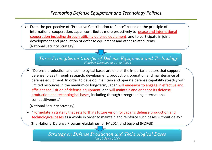From the perspective of "Proactive Contribution to Peace" based on the principle of ➤ international cooperation, Japan contributes more proactively to peace and international cooperation including through utilizing defense equipment, and to participate in joint development and production of defense equipment and other related items. (National Security Strategy)

*Three Principles on transfer of Defense Equipment and Technology (Cabinet Decision on 1 April 2014)*

"Defense production and technological bases are one of the important factors that support defense forces through research, development, production, operation and maintenance of defense equipment. In order to develop, maintain and operate defense capability steadily with limited resources in the medium-to long-term, Japan will endeavor to engage in effective and efficient acquisition of defense equipment, and will maintain and enhance its defense production and technological bases, including through strengthening international competitiveness."

(National Security Strategy)

 $\triangleright$  "Formulate a strategy that sets forth its future vision for Japan's defense production and technological bases as a whole in order to maintain and reinforce such bases without delay."

(the National Defense Program Guidelines for FY 2014 and beyond (NDPG))

*Strategy on Defense Production and Technological Bases (on 19 June 2014)*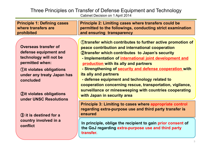#### Three Principles on Transfer of Defense Equipment and Technology Cabinet Decision on 1 April 2014

| <b>Principle 1: Defining cases</b><br>where transfers are<br>prohibited                                                                                                                                                   | Principle 2: Limiting cases where transfers could be<br>permitted to the followings, conducting strict examination<br>and ensuring transparency                                                                                                                                                                                                                                                                                                                                                                                                                                   |
|---------------------------------------------------------------------------------------------------------------------------------------------------------------------------------------------------------------------------|-----------------------------------------------------------------------------------------------------------------------------------------------------------------------------------------------------------------------------------------------------------------------------------------------------------------------------------------------------------------------------------------------------------------------------------------------------------------------------------------------------------------------------------------------------------------------------------|
| <b>Overseas transfer of</b><br>defense equipment and<br>technology will not be<br>permitted when:<br><b><i><u>Oit violates obligations</u></i></b><br>under any treaty Japan has<br>concluded<br>2it violates obligations | <b>Otransfer which contributes to further active promotion of</b><br>peace contribution and international cooperation<br><b>2)transfer which contributes to Japan's security</b><br>- Implementation of international joint development and<br>production with its ally and partners<br>- Strengthening of security and defense cooperation with<br>its ally and partners<br>- defense equipment and technology related to<br>cooperation concerning rescue, transportation, vigilance,<br>surveillance or minesweeping with countries cooperating<br>with Japan in security area |
| under UNSC Resolutions<br>3 it is destined for a                                                                                                                                                                          | <b>Principle 3: Limiting to cases where appropriate control</b><br>regarding extra-purpose use and third party transfer is<br>ensured                                                                                                                                                                                                                                                                                                                                                                                                                                             |
| country involved in a<br>conflict                                                                                                                                                                                         | In principle, oblige the recipient to gain prior consent of<br>the GoJ regarding extra-purpose use and third party<br>transfer.                                                                                                                                                                                                                                                                                                                                                                                                                                                   |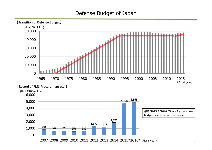### Defense Budget of Japan



2007 2008 2009 2010 2011 2012 2013 2014 2015 2016 \* (Fiscal year)